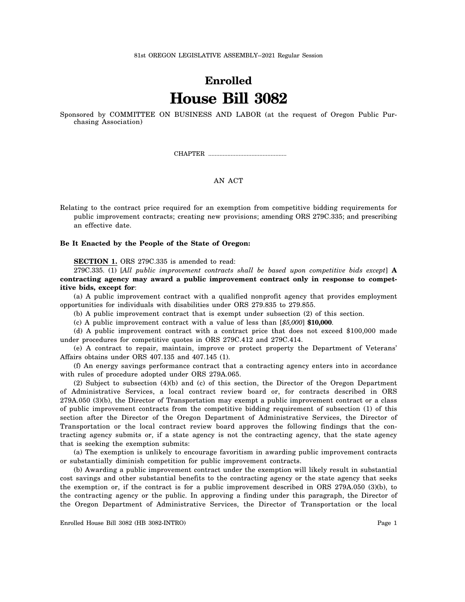81st OREGON LEGISLATIVE ASSEMBLY--2021 Regular Session

## **Enrolled House Bill 3082**

Sponsored by COMMITTEE ON BUSINESS AND LABOR (at the request of Oregon Public Purchasing Association)

CHAPTER .................................................

## AN ACT

Relating to the contract price required for an exemption from competitive bidding requirements for public improvement contracts; creating new provisions; amending ORS 279C.335; and prescribing an effective date.

## **Be It Enacted by the People of the State of Oregon:**

**SECTION 1.** ORS 279C.335 is amended to read:

279C.335. (1) [*All public improvement contracts shall be based upon competitive bids except*] **A contracting agency may award a public improvement contract only in response to competitive bids, except for**:

(a) A public improvement contract with a qualified nonprofit agency that provides employment opportunities for individuals with disabilities under ORS 279.835 to 279.855.

(b) A public improvement contract that is exempt under subsection (2) of this section.

(c) A public improvement contract with a value of less than [*\$5,000*] **\$10,000**.

(d) A public improvement contract with a contract price that does not exceed \$100,000 made under procedures for competitive quotes in ORS 279C.412 and 279C.414.

(e) A contract to repair, maintain, improve or protect property the Department of Veterans' Affairs obtains under ORS 407.135 and 407.145 (1).

(f) An energy savings performance contract that a contracting agency enters into in accordance with rules of procedure adopted under ORS 279A.065.

(2) Subject to subsection (4)(b) and (c) of this section, the Director of the Oregon Department of Administrative Services, a local contract review board or, for contracts described in ORS 279A.050 (3)(b), the Director of Transportation may exempt a public improvement contract or a class of public improvement contracts from the competitive bidding requirement of subsection (1) of this section after the Director of the Oregon Department of Administrative Services, the Director of Transportation or the local contract review board approves the following findings that the contracting agency submits or, if a state agency is not the contracting agency, that the state agency that is seeking the exemption submits:

(a) The exemption is unlikely to encourage favoritism in awarding public improvement contracts or substantially diminish competition for public improvement contracts.

(b) Awarding a public improvement contract under the exemption will likely result in substantial cost savings and other substantial benefits to the contracting agency or the state agency that seeks the exemption or, if the contract is for a public improvement described in ORS 279A.050 (3)(b), to the contracting agency or the public. In approving a finding under this paragraph, the Director of the Oregon Department of Administrative Services, the Director of Transportation or the local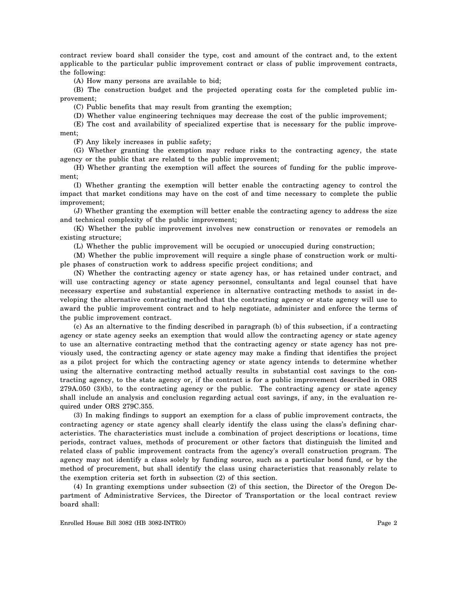contract review board shall consider the type, cost and amount of the contract and, to the extent applicable to the particular public improvement contract or class of public improvement contracts, the following:

(A) How many persons are available to bid;

(B) The construction budget and the projected operating costs for the completed public improvement;

(C) Public benefits that may result from granting the exemption;

(D) Whether value engineering techniques may decrease the cost of the public improvement;

(E) The cost and availability of specialized expertise that is necessary for the public improvement;

(F) Any likely increases in public safety;

(G) Whether granting the exemption may reduce risks to the contracting agency, the state agency or the public that are related to the public improvement;

(H) Whether granting the exemption will affect the sources of funding for the public improvement;

(I) Whether granting the exemption will better enable the contracting agency to control the impact that market conditions may have on the cost of and time necessary to complete the public improvement;

(J) Whether granting the exemption will better enable the contracting agency to address the size and technical complexity of the public improvement;

(K) Whether the public improvement involves new construction or renovates or remodels an existing structure;

(L) Whether the public improvement will be occupied or unoccupied during construction;

(M) Whether the public improvement will require a single phase of construction work or multiple phases of construction work to address specific project conditions; and

(N) Whether the contracting agency or state agency has, or has retained under contract, and will use contracting agency or state agency personnel, consultants and legal counsel that have necessary expertise and substantial experience in alternative contracting methods to assist in developing the alternative contracting method that the contracting agency or state agency will use to award the public improvement contract and to help negotiate, administer and enforce the terms of the public improvement contract.

(c) As an alternative to the finding described in paragraph (b) of this subsection, if a contracting agency or state agency seeks an exemption that would allow the contracting agency or state agency to use an alternative contracting method that the contracting agency or state agency has not previously used, the contracting agency or state agency may make a finding that identifies the project as a pilot project for which the contracting agency or state agency intends to determine whether using the alternative contracting method actually results in substantial cost savings to the contracting agency, to the state agency or, if the contract is for a public improvement described in ORS 279A.050 (3)(b), to the contracting agency or the public. The contracting agency or state agency shall include an analysis and conclusion regarding actual cost savings, if any, in the evaluation required under ORS 279C.355.

(3) In making findings to support an exemption for a class of public improvement contracts, the contracting agency or state agency shall clearly identify the class using the class's defining characteristics. The characteristics must include a combination of project descriptions or locations, time periods, contract values, methods of procurement or other factors that distinguish the limited and related class of public improvement contracts from the agency's overall construction program. The agency may not identify a class solely by funding source, such as a particular bond fund, or by the method of procurement, but shall identify the class using characteristics that reasonably relate to the exemption criteria set forth in subsection (2) of this section.

(4) In granting exemptions under subsection (2) of this section, the Director of the Oregon Department of Administrative Services, the Director of Transportation or the local contract review board shall: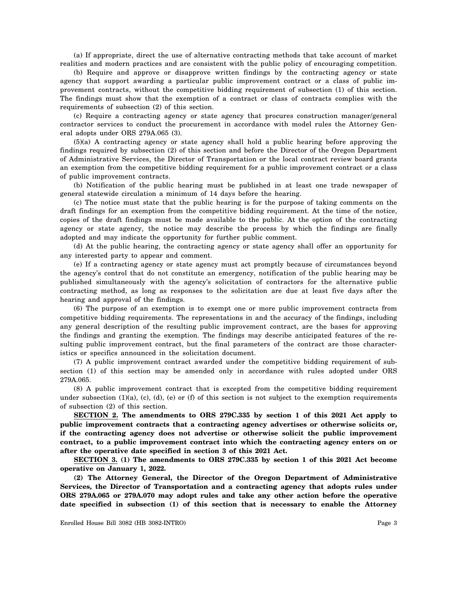(a) If appropriate, direct the use of alternative contracting methods that take account of market realities and modern practices and are consistent with the public policy of encouraging competition.

(b) Require and approve or disapprove written findings by the contracting agency or state agency that support awarding a particular public improvement contract or a class of public improvement contracts, without the competitive bidding requirement of subsection (1) of this section. The findings must show that the exemption of a contract or class of contracts complies with the requirements of subsection (2) of this section.

(c) Require a contracting agency or state agency that procures construction manager/general contractor services to conduct the procurement in accordance with model rules the Attorney General adopts under ORS 279A.065 (3).

(5)(a) A contracting agency or state agency shall hold a public hearing before approving the findings required by subsection (2) of this section and before the Director of the Oregon Department of Administrative Services, the Director of Transportation or the local contract review board grants an exemption from the competitive bidding requirement for a public improvement contract or a class of public improvement contracts.

(b) Notification of the public hearing must be published in at least one trade newspaper of general statewide circulation a minimum of 14 days before the hearing.

(c) The notice must state that the public hearing is for the purpose of taking comments on the draft findings for an exemption from the competitive bidding requirement. At the time of the notice, copies of the draft findings must be made available to the public. At the option of the contracting agency or state agency, the notice may describe the process by which the findings are finally adopted and may indicate the opportunity for further public comment.

(d) At the public hearing, the contracting agency or state agency shall offer an opportunity for any interested party to appear and comment.

(e) If a contracting agency or state agency must act promptly because of circumstances beyond the agency's control that do not constitute an emergency, notification of the public hearing may be published simultaneously with the agency's solicitation of contractors for the alternative public contracting method, as long as responses to the solicitation are due at least five days after the hearing and approval of the findings.

(6) The purpose of an exemption is to exempt one or more public improvement contracts from competitive bidding requirements. The representations in and the accuracy of the findings, including any general description of the resulting public improvement contract, are the bases for approving the findings and granting the exemption. The findings may describe anticipated features of the resulting public improvement contract, but the final parameters of the contract are those characteristics or specifics announced in the solicitation document.

(7) A public improvement contract awarded under the competitive bidding requirement of subsection (1) of this section may be amended only in accordance with rules adopted under ORS 279A.065.

(8) A public improvement contract that is excepted from the competitive bidding requirement under subsection  $(1)(a)$ ,  $(c)$ ,  $(d)$ ,  $(e)$  or  $(f)$  of this section is not subject to the exemption requirements of subsection (2) of this section.

**SECTION 2. The amendments to ORS 279C.335 by section 1 of this 2021 Act apply to public improvement contracts that a contracting agency advertises or otherwise solicits or, if the contracting agency does not advertise or otherwise solicit the public improvement contract, to a public improvement contract into which the contracting agency enters on or after the operative date specified in section 3 of this 2021 Act.**

**SECTION 3. (1) The amendments to ORS 279C.335 by section 1 of this 2021 Act become operative on January 1, 2022.**

**(2) The Attorney General, the Director of the Oregon Department of Administrative Services, the Director of Transportation and a contracting agency that adopts rules under ORS 279A.065 or 279A.070 may adopt rules and take any other action before the operative date specified in subsection (1) of this section that is necessary to enable the Attorney**